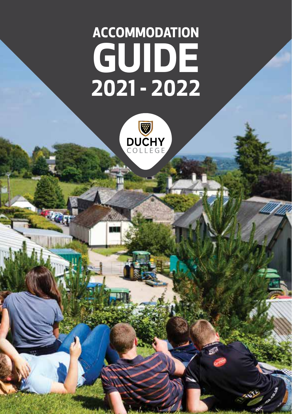# **ACCOMMODATION GUIDE 2021 - 2022**

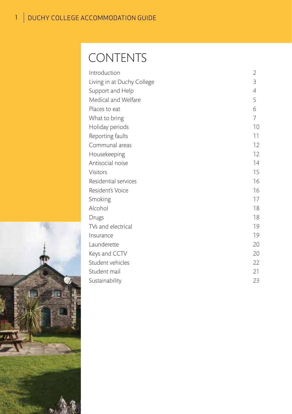# CONTENTS

| Introduction               | 2  |
|----------------------------|----|
| Living in at Duchy College | 3  |
| Support and Help           | 4  |
| Medical and Welfare        | 5  |
| Places to eat              | 6  |
| What to bring              | 7  |
| Holiday periods            | 10 |
| Reporting faults           | 11 |
| Communal areas             | 12 |
| Housekeeping               | 12 |
| Antisocial noise           | 14 |
| <b>Visitors</b>            | 15 |
| Residential services       | 16 |
| Resident's Voice           | 16 |
| Smoking                    | 17 |
| Alcohol                    | 18 |
| Drugs                      | 18 |
| TVs and electrical         | 19 |
| Insurance                  | 19 |
| Launderette                | 20 |
| Keys and CCTV              | 20 |
| Student vehicles           | 22 |
| Student mail               | 21 |
| Sustainability             | 23 |

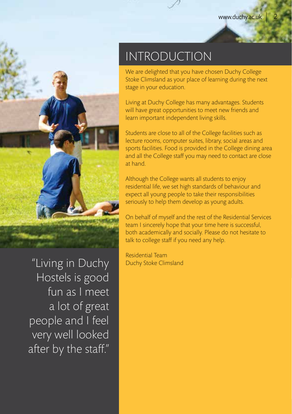

"Living in Duchy Hostels is good fun as I meet a lot of great people and I feel very well looked after by the staff."

# INTRODUCTION

We are delighted that you have chosen Duchy College Stoke Climsland as your place of learning during the next stage in your education.

Living at Duchy College has many advantages. Students will have great opportunities to meet new friends and learn important independent living skills.

Students are close to all of the College facilities such as lecture rooms, computer suites, library, social areas and sports facilities. Food is provided in the College dining area and all the College staff you may need to contact are close at hand.

Although the College wants all students to enjoy residential life, we set high standards of behaviour and expect all young people to take their responsibilities seriously to help them develop as young adults.

On behalf of myself and the rest of the Residential Services team I sincerely hope that your time here is successful, both academically and socially. Please do not hesitate to talk to college staff if you need any help.

Residential Team Duchy Stoke Climsland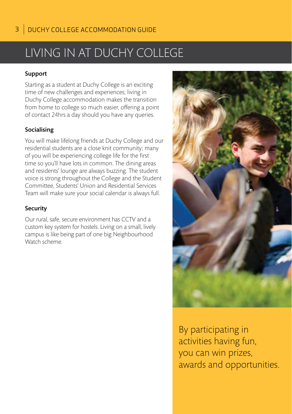# LIVING IN AT DUCHY COLLEGE

#### Support

Starting as a student at Duchy College is an exciting time of new challenges and experiences; living in Duchy College accommodation makes the transition from home to college so much easier, offering a point of contact 24hrs a day should you have any queries.

#### Socialising

You will make lifelong friends at Duchy College and our residential students are a close knit community; many of you will be experiencing college life for the first time so you'll have lots in common. The dining areas and residents' lounge are always buzzing. The student voice is strong throughout the College and the Student Committee, Students' Union and Residential Services Team will make sure your social calendar is always full.

#### Security

Our rural, safe, secure environment has CCTV and a custom key system for hostels. Living on a small, lively campus is like being part of one big Neighbourhood Watch scheme.



By participating in activities having fun, you can win prizes, awards and opportunities.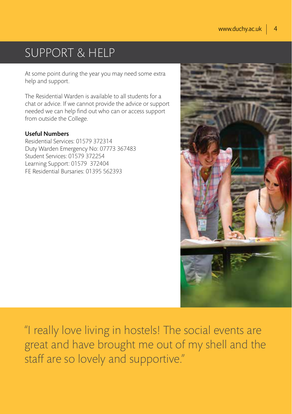# SUPPORT & HELP

At some point during the year you may need some extra help and support.

The Residential Warden is available to all students for a chat or advice. If we cannot provide the advice or support needed we can help find out who can or access support from outside the College.

#### Useful Numbers

Residential Services: 01579 372314 Duty Warden Emergency No: 07773 367483 Student Services: 01579 372254 Learning Support: 01579 372404 FE Residential Bursaries: 01395 562393



"I really love living in hostels! The social events are great and have brought me out of my shell and the staff are so lovely and supportive."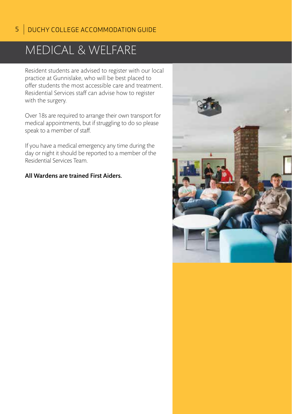# MEDICAL & WELFARE

Resident students are advised to register with our local practice at Gunnislake, who will be best placed to offer students the most accessible care and treatment. Residential Services staff can advise how to register with the surgery.

Over 18s are required to arrange their own transport for medical appointments, but if struggling to do so please speak to a member of staff.

If you have a medical emergency any time during the day or night it should be reported to a member of the Residential Services Team.

#### All Wardens are trained First Aiders.

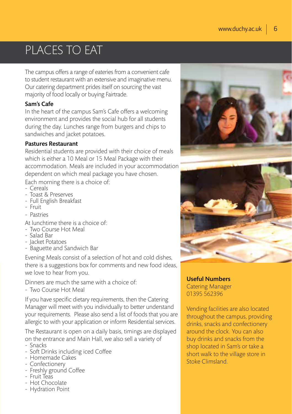# PLACES TO EAT

The campus offers a range of eateries from a convenient cafe to student restaurant with an extensive and imaginative menu. Our catering department prides itself on sourcing the vast majority of food locally or buying Fairtrade.

#### Sam's Cafe

In the heart of the campus Sam's Cafe offers a welcoming environment and provides the social hub for all students during the day. Lunches range from burgers and chips to sandwiches and jacket potatoes.

#### Pastures Restaurant

Residential students are provided with their choice of meals which is either a 10 Meal or 15 Meal Package with their accommodation. Meals are included in your accommodation dependent on which meal package you have chosen.

Each morning there is a choice of:

- Cereals
- Toast & Preserves
- Full English Breakfast
- Fruit
- Pastries
- At lunchtime there is a choice of:
- Two Course Hot Meal
- Salad Bar
- Jacket Potatoes
- Baguette and Sandwich Bar

Evening Meals consist of a selection of hot and cold dishes, there is a suggestions box for comments and new food ideas, we love to hear from you.

Dinners are much the same with a choice of:

- Two Course Hot Meal

If you have specific dietary requirements, then the Catering Manager will meet with you individually to better understand your requirements. Please also send a list of foods that you are allergic to with your application or inform Residential services.

The Restaurant is open on a daily basis, timings are displayed on the entrance and Main Hall, we also sell a variety of

- Snacks
- Soft Drinks including iced Coffee
- Homemade Cakes
- Confectionery
- Freshly ground Coffee
- Fruit Teas
- Hot Chocolate
- Hydration Point





Useful Numbers Catering Manager 01395 562396

Vending facilities are also located throughout the campus, providing drinks, snacks and confectionery around the clock. You can also buy drinks and snacks from the shop located in Sam's or take a short walk to the village store in Stoke Climsland.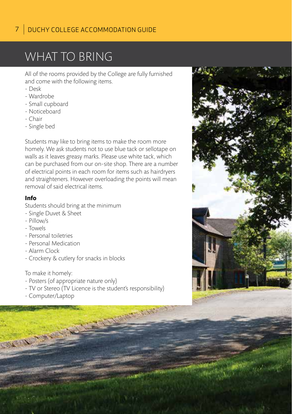# WHAT TO BRING

All of the rooms provided by the College are fully furnished and come with the following items.

- Desk
- Wardrobe
- Small cupboard
- Noticeboard
- Chair
- Single bed

Students may like to bring items to make the room more homely. We ask students not to use blue tack or sellotape on walls as it leaves greasy marks. Please use white tack, which can be purchased from our on-site shop. There are a number of electrical points in each room for items such as hairdryers and straighteners. However overloading the points will mean removal of said electrical items.

#### **Info**

Students should bring at the minimum

- Single Duvet & Sheet
- Pillow/s
- Towels
- Personal toiletries
- Personal Medication
- Alarm Clock
- Crockery & cutlery for snacks in blocks

To make it homely:

- Posters (of appropriate nature only)
- TV or Stereo (TV Licence is the student's responsibility)
- Computer/Laptop

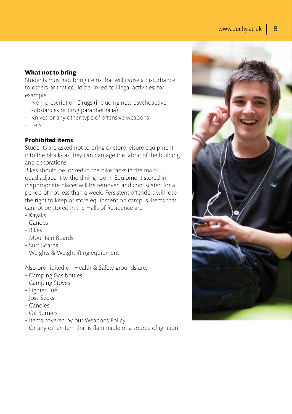#### **What not to bring**

Students must not bring items that will cause a disturbance to others or that could be linked to illegal activities; for example:

- Non-prescription Drugs (including new psychoactive substances or drug paraphernalia)
- Knives or any other type of offensive weapons
- Pets

#### **Prohibited items**

Students are asked not to bring or store leisure equipment into the blocks as they can damage the fabric of the building and decorations.

Bikes should be locked in the bike racks in the main quad adjacent to the dining room. Equipment stored in inappropriate places will be removed and confiscated for a period of not less than a week. Persistent offenders will lose the right to keep or store equipment on campus. Items that cannot be stored in the Halls of Residence are:

- Kayaks
- Canoes
- Bikes
- Mountain Boards
- Surf Boards
- Weights & Weightlifting equipment

Also prohibited on Health & Safety grounds are:

- Camping Gas bottles
- Camping Stoves
- Lighter Fuel
- Joss Sticks
- Candles
- Oil Burners
- Items covered by our Weapons Policy
- Or any other item that is flammable or a source of ignition.

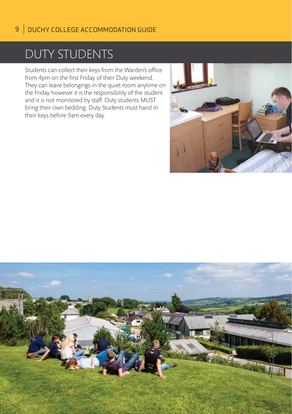### DUTY STUDENTS

Students can collect their keys from the Warden's office from 4pm on the first Friday of their Duty weekend. They can leave belongings in the quiet room anytime on the Friday however it is the responsibility of the student and it is not monitored by staff. Duty students MUST bring their own bedding. Duty Students must hand in their keys before 9am every day.



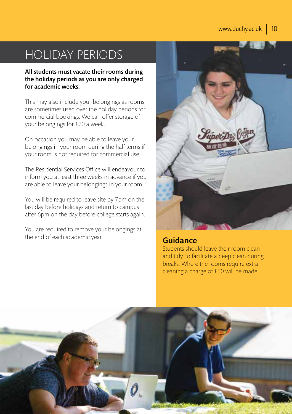# HOLIDAY PERIODS

All students must vacate their rooms during the holiday periods as you are only charged for academic weeks.

This may also include your belongings as rooms are sometimes used over the holiday periods for commercial bookings. We can offer storage of your belongings for £20 a week.

On occasion you may be able to leave your belongings in your room during the half terms if your room is not required for commercial use.

The Residential Services Office will endeavour to inform you at least three weeks in advance if you are able to leave your belongings in your room.

You will be required to leave site by 7pm on the last day before holidays and return to campus after 6pm on the day before college starts again.

You are required to remove your belongings at the end of each academic year.



#### **Guidance**

Students should leave their room clean and tidy, to facilitate a deep clean during breaks. Where the rooms require extra cleaning a charge of £50 will be made.

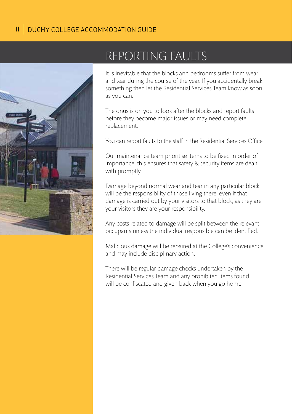

# REPORTING FAULTS

It is inevitable that the blocks and bedrooms suffer from wear and tear during the course of the year. If you accidentally break something then let the Residential Services Team know as soon as you can.

The onus is on you to look after the blocks and report faults before they become major issues or may need complete replacement.

You can report faults to the staff in the Residential Services Office.

Our maintenance team prioritise items to be fixed in order of importance; this ensures that safety & security items are dealt with promptly.

Damage beyond normal wear and tear in any particular block will be the responsibility of those living there, even if that damage is carried out by your visitors to that block, as they are your visitors they are your responsibility.

Any costs related to damage will be split between the relevant occupants unless the individual responsible can be identified.

Malicious damage will be repaired at the College's convenience and may include disciplinary action.

There will be regular damage checks undertaken by the Residential Services Team and any prohibited items found will be confiscated and given back when you go home.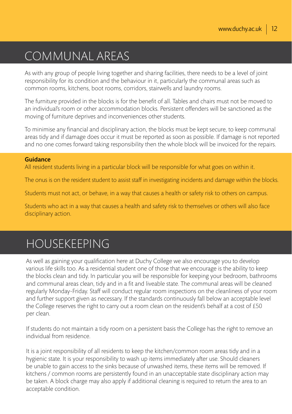# COMMUNAL AREAS

As with any group of people living together and sharing facilities, there needs to be a level of joint responsibility for its condition and the behaviour in it, particularly the communal areas such as common rooms, kitchens, boot rooms, corridors, stairwells and laundry rooms.

The furniture provided in the blocks is for the benefit of all. Tables and chairs must not be moved to an individual's room or other accommodation blocks. Persistent offenders will be sanctioned as the moving of furniture deprives and inconveniences other students.

To minimise any financial and disciplinary action, the blocks must be kept secure, to keep communal areas tidy and if damage does occur it must be reported as soon as possible. If damage is not reported and no one comes forward taking responsibility then the whole block will be invoiced for the repairs.

#### Guidance

All resident students living in a particular block will be responsible for what goes on within it.

The onus is on the resident student to assist staff in investigating incidents and damage within the blocks.

Students must not act, or behave, in a way that causes a health or safety risk to others on campus.

Students who act in a way that causes a health and safety risk to themselves or others will also face disciplinary action.

### HOUSEKEEPING

As well as gaining your qualification here at Duchy College we also encourage you to develop various life skills too. As a residential student one of those that we encourage is the ability to keep the blocks clean and tidy. In particular you will be responsible for keeping your bedroom, bathrooms and communal areas clean, tidy and in a fit and liveable state. The communal areas will be cleaned regularly Monday-Friday. Staff will conduct regular room inspections on the cleanliness of your room and further support given as necessary. If the standards continuously fall below an acceptable level the College reserves the right to carry out a room clean on the resident's behalf at a cost of £50 per clean.

If students do not maintain a tidy room on a persistent basis the College has the right to remove an individual from residence.

It is a joint responsibility of all residents to keep the kitchen/common room areas tidy and in a hygienic state. It is your responsibility to wash up items immediately after use. Should cleaners be unable to gain access to the sinks because of unwashed items, these items will be removed. If kitchens / common rooms are persistently found in an unacceptable state disciplinary action may be taken. A block charge may also apply if additional cleaning is required to return the area to an acceptable condition.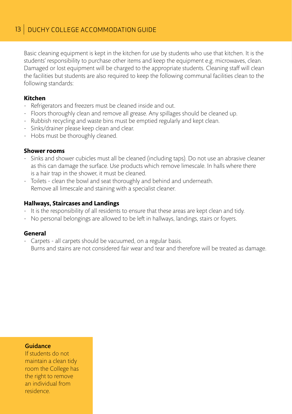Basic cleaning equipment is kept in the kitchen for use by students who use that kitchen. It is the students' responsibility to purchase other items and keep the equipment e.g. microwaves, clean. Damaged or lost equipment will be charged to the appropriate students. Cleaning staff will clean the facilities but students are also required to keep the following communal facilities clean to the following standards:

#### **Kitchen**

- Refrigerators and freezers must be cleaned inside and out.
- Floors thoroughly clean and remove all grease. Any spillages should be cleaned up.
- Rubbish recycling and waste bins must be emptied regularly and kept clean.
- Sinks/drainer please keep clean and clear.
- Hobs must be thoroughly cleaned.

#### **Shower rooms**

- Sinks and shower cubicles must all be cleaned (including taps). Do not use an abrasive cleaner as this can damage the surface. Use products which remove limescale. In halls where there is a hair trap in the shower, it must be cleaned.
- Toilets clean the bowl and seat thoroughly and behind and underneath. Remove all limescale and staining with a specialist cleaner.

#### **Hallways, Staircases and Landings**

- It is the responsibility of all residents to ensure that these areas are kept clean and tidy.
- No personal belongings are allowed to be left in hallways, landings, stairs or foyers.

#### **General**

- Carpets - all carpets should be vacuumed, on a regular basis. Burns and stains are not considered fair wear and tear and therefore will be treated as damage.

#### Guidance

If students do not maintain a clean tidy room the College has the right to remove an individual from residence.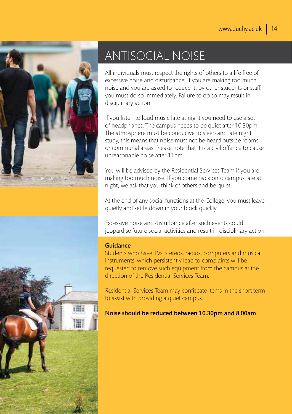

# ANTISOCIAL NOISE

All individuals must respect the rights of others to a life free of excessive noise and disturbance. If you are making too much noise and you are asked to reduce it, by other students or staff, you must do so immediately. Failure to do so may result in disciplinary action.

If you listen to loud music late at night you need to use a set of headphones. The campus needs to be quiet after 10.30pm. The atmosphere must be conducive to sleep and late night study, this means that noise must not be heard outside rooms or communal areas. Please note that it is a civil offence to cause unreasonable noise after 11pm.

You will be advised by the Residential Services Team if you are making too much noise. If you come back onto campus late at night, we ask that you think of others and be quiet.

At the end of any social functions at the College, you must leave quietly and settle down in your block quickly.

Excessive noise and disturbance after such events could jeopardise future social activities and result in disciplinary action.

#### Guidance

Students who have TVs, stereos, radios, computers and musical instruments, which persistently lead to complaints will be requested to remove such equipment from the campus at the direction of the Residential Services Team.

Residential Services Team may confiscate items in the short term to assist with providing a quiet campus.

Noise should be reduced between 10.30pm and 8.00am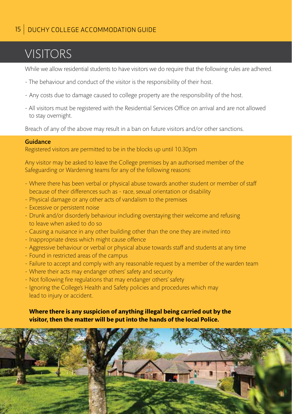#### 15 DUCHY COLLEGE ACCOMMODATION GUIDE

# VISITORS

While we allow residential students to have visitors we do require that the following rules are adhered.

- The behaviour and conduct of the visitor is the responsibility of their host.
- Any costs due to damage caused to college property are the responsibility of the host.
- All visitors must be registered with the Residential Services Office on arrival and are not allowed to stay overnight.

Breach of any of the above may result in a ban on future visitors and/or other sanctions.

#### Guidance

Registered visitors are permitted to be in the blocks up until 10.30pm

Any visitor may be asked to leave the College premises by an authorised member of the Safeguarding or Wardening teams for any of the following reasons:

- Where there has been verbal or physical abuse towards another student or member of staff because of their differences such as - race, sexual orientation or disability
- Physical damage or any other acts of vandalism to the premises
- Excessive or persistent noise
- Drunk and/or disorderly behaviour including overstaying their welcome and refusing to leave when asked to do so
- Causing a nuisance in any other building other than the one they are invited into
- Inappropriate dress which might cause offence
- Aggressive behaviour or verbal or physical abuse towards staff and students at any time
- Found in restricted areas of the campus
- Failure to accept and comply with any reasonable request by a member of the warden team
- Where their acts may endanger others' safety and security
- Not following fire regulations that may endanger others' safety
- Ignoring the College's Health and Safety policies and procedures which may lead to injury or accident.

#### **Where there is any suspicion of anything illegal being carried out by the visitor, then the matter will be put into the hands of the local Police.**

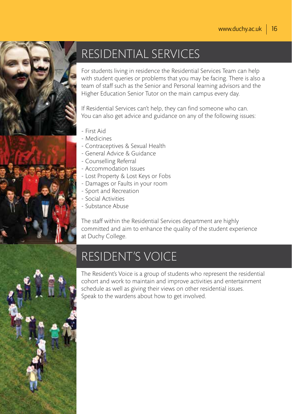

# RESIDENTIAL SERVICES

For students living in residence the Residential Services Team can help with student queries or problems that you may be facing. There is also a team of staff such as the Senior and Personal learning advisors and the Higher Education Senior Tutor on the main campus every day.

If Residential Services can't help, they can find someone who can. You can also get advice and guidance on any of the following issues:

- First Aid
- Medicines
- Contraceptives & Sexual Health
- General Advice & Guidance
- Counselling Referral
- Accommodation Issues
- Lost Property & Lost Keys or Fobs
- Damages or Faults in your room
- Sport and Recreation
- Social Activities
- Substance Abuse

The staff within the Residential Services department are highly committed and aim to enhance the quality of the student experience at Duchy College.

# RESIDENT'S VOICE



The Resident's Voice is a group of students who represent the residential cohort and work to maintain and improve activities and entertainment schedule as well as giving their views on other residential issues. Speak to the wardens about how to get involved.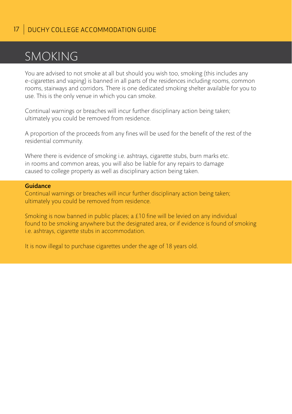### SMOKING

You are advised to not smoke at all but should you wish too, smoking (this includes any e-cigarettes and vaping) is banned in all parts of the residences including rooms, common rooms, stairways and corridors. There is one dedicated smoking shelter available for you to use. This is the only venue in which you can smoke.

Continual warnings or breaches will incur further disciplinary action being taken; ultimately you could be removed from residence.

A proportion of the proceeds from any fines will be used for the benefit of the rest of the residential community.

Where there is evidence of smoking i.e. ashtrays, cigarette stubs, burn marks etc. in rooms and common areas, you will also be liable for any repairs to damage caused to college property as well as disciplinary action being taken.

#### Guidance

Continual warnings or breaches will incur further disciplinary action being taken; ultimately you could be removed from residence.

Smoking is now banned in public places; a £10 fine will be levied on any individual found to be smoking anywhere but the designated area, or if evidence is found of smoking i.e. ashtrays, cigarette stubs in accommodation.

It is now illegal to purchase cigarettes under the age of 18 years old.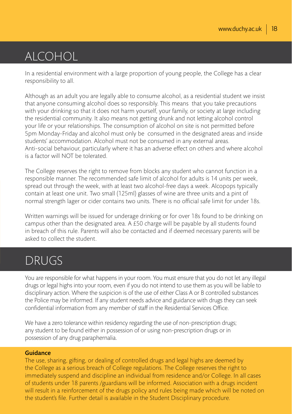# ALCOHOL

In a residential environment with a large proportion of young people, the College has a clear responsibility to all.

Although as an adult you are legally able to consume alcohol, as a residential student we insist that anyone consuming alcohol does so responsibly. This means that you take precautions with your drinking so that it does not harm yourself, your family, or society at large including the residential community. It also means not getting drunk and not letting alcohol control your life or your relationships. The consumption of alcohol on site is not permitted before 5pm Monday-Friday and alcohol must only be consumed in the designated areas and inside students' accommodation. Alcohol must not be consumed in any external areas. Anti-social behaviour, particularly where it has an adverse effect on others and where alcohol is a factor will NOT be tolerated.

The College reserves the right to remove from blocks any student who cannot function in a responsible manner. The recommended safe limit of alcohol for adults is 14 units per week, spread out through the week, with at least two alcohol-free days a week. Alcopops typically contain at least one unit. Two small (125ml) glasses of wine are three units and a pint of normal strength lager or cider contains two units. There is no official safe limit for under 18s.

Written warnings will be issued for underage drinking or for over 18s found to be drinking on campus other than the designated area. A £50 charge will be payable by all students found in breach of this rule. Parents will also be contacted and if deemed necessary parents will be asked to collect the student.

### DRUGS

You are responsible for what happens in your room. You must ensure that you do not let any illegal drugs or legal highs into your room, even if you do not intend to use them as you will be liable to disciplinary action. Where the suspicion is of the use of either Class A or B controlled substances the Police may be informed. If any student needs advice and guidance with drugs they can seek confidential information from any member of staff in the Residential Services Office.

We have a zero tolerance within residency regarding the use of non-prescription drugs; any student to be found either in possession of or using non-prescription drugs or in possession of any drug paraphernalia.

#### Guidance

The use, sharing, gifting, or dealing of controlled drugs and legal highs are deemed by the College as a serious breach of College regulations. The College reserves the right to immediately suspend and discipline an individual from residence and/or College. In all cases of students under 18 parents /guardians will be informed. Association with a drugs incident will result in a reinforcement of the drugs policy and rules being made which will be noted on the student's file. Further detail is available in the Student Disciplinary procedure.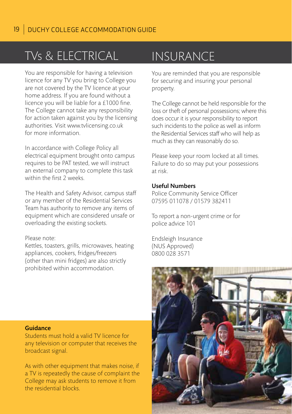# TVs & ELECTRICAL

You are responsible for having a television licence for any TV you bring to College you are not covered by the TV licence at your home address. If you are found without a licence you will be liable for a £1000 fine. The College cannot take any responsibility for action taken against you by the licensing authorities. Visit www.tvlicensing.co.uk for more information.

In accordance with College Policy all electrical equipment brought onto campus requires to be PAT tested, we will instruct an external company to complete this task within the first 2 weeks.

The Health and Safety Advisor, campus staff or any member of the Residential Services Team has authority to remove any items of equipment which are considered unsafe or overloading the existing sockets.

#### Please note:

Kettles, toasters, grills, microwaves, heating appliances, cookers, fridges/freezers (other than mini fridges) are also strictly prohibited within accommodation.

### INSURANCE

You are reminded that you are responsible for securing and insuring your personal property.

The College cannot be held responsible for the loss or theft of personal possessions; where this does occur it is your responsibility to report such incidents to the police as well as inform the Residential Services staff who will help as much as they can reasonably do so.

Please keep your room locked at all times. Failure to do so may put your possessions at risk.

#### Useful Numbers

Police Community Service Officer 07595 011078 / 01579 382411

To report a non-urgent crime or for police advice 101

Endsleigh Insurance (NUS Approved) 0800 028 3571



#### Guidance

Students must hold a valid TV licence for any television or computer that receives the broadcast signal.

As with other equipment that makes noise, if a TV is repeatedly the cause of complaint the College may ask students to remove it from the residential blocks.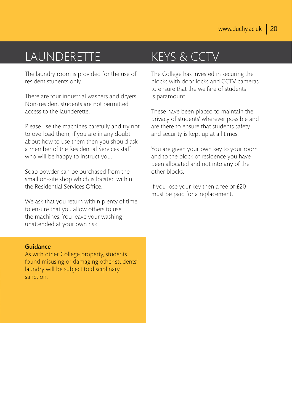### LAUNDERETTE

The laundry room is provided for the use of resident students only.

There are four industrial washers and dryers. Non-resident students are not permitted access to the launderette.

Please use the machines carefully and try not to overload them; if you are in any doubt about how to use them then you should ask a member of the Residential Services staff who will be happy to instruct you.

Soap powder can be purchased from the small on-site shop which is located within the Residential Services Office.

We ask that you return within plenty of time to ensure that you allow others to use the machines. You leave your washing unattended at your own risk.

### KEYS & CCTV

The College has invested in securing the blocks with door locks and CCTV cameras to ensure that the welfare of students is paramount.

These have been placed to maintain the privacy of students' wherever possible and are there to ensure that students safety and security is kept up at all times.

You are given your own key to your room and to the block of residence you have been allocated and not into any of the other blocks.

If you lose your key then a fee of £20 must be paid for a replacement.

#### Guidance

As with other College property, students found misusing or damaging other students' laundry will be subject to disciplinary sanction.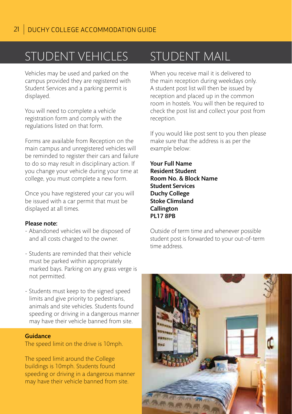# STUDENT VEHICLES

Vehicles may be used and parked on the campus provided they are registered with Student Services and a parking permit is displayed.

You will need to complete a vehicle registration form and comply with the regulations listed on that form.

Forms are available from Reception on the main campus and unregistered vehicles will be reminded to register their cars and failure to do so may result in disciplinary action. If you change your vehicle during your time at college, you must complete a new form.

Once you have registered your car you will be issued with a car permit that must be displayed at all times.

#### Please note:

- Abandoned vehicles will be disposed of and all costs charged to the owner.
- Students are reminded that their vehicle must be parked within appropriately marked bays. Parking on any grass verge is not permitted.
- Students must keep to the signed speed limits and give priority to pedestrians, animals and site vehicles. Students found speeding or driving in a dangerous manner may have their vehicle banned from site.

#### Guidance

The speed limit on the drive is 10mph.

The speed limit around the College buildings is 10mph. Students found speeding or driving in a dangerous manner may have their vehicle banned from site.

### **STUDENT MAIL**

When you receive mail it is delivered to the main reception during weekdays only. A student post list will then be issued by reception and placed up in the common room in hostels. You will then be required to check the post list and collect your post from reception.

If you would like post sent to you then please make sure that the address is as per the example below:

Your Full Name Resident Student Room No. & Block Name Student Services Duchy College Stoke Climsland Callington **PL17 8PB** 

Outside of term time and whenever possible student post is forwarded to your out-of-term time address.

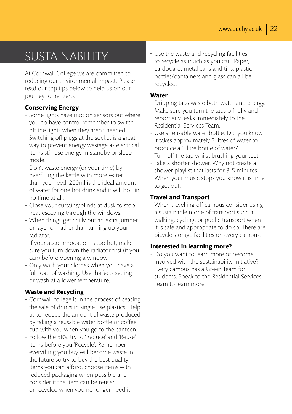# SUSTAINABILITY

At Cornwall College we are committed to reducing our environmental impact. Please read our top tips below to help us on our journey to net zero.

#### **Conserving Energy**

- Some lights have motion sensors but where you do have control remember to switch off the lights when they aren't needed.
- Switching off plugs at the socket is a great way to prevent energy wastage as electrical items still use energy in standby or sleep mode.
- Don't waste energy (or your time) by overfilling the kettle with more water than you need. 200ml is the ideal amount of water for one hot drink and it will boil in no time at all.
- Close your curtains/blinds at dusk to stop heat escaping through the windows.
- When things get chilly put an extra jumper or layer on rather than turning up your radiator.
- If your accommodation is too hot, make sure you turn down the radiator first (if you can) before opening a window.
- Only wash your clothes when you have a full load of washing. Use the 'eco' setting or wash at a lower temperature.

#### **Waste and Recycling**

- Cornwall college is in the process of ceasing the sale of drinks in single use plastics. Help us to reduce the amount of waste produced by taking a reusable water bottle or coffee cup with you when you go to the canteen.
- Follow the 3R's: try to 'Reduce' and 'Reuse' items before you 'Recycle'. Remember everything you buy will become waste in the future so try to buy the best quality items you can afford, choose items with reduced packaging when possible and consider if the item can be reused or recycled when you no longer need it.

• Use the waste and recycling facilities to recycle as much as you can. Paper, cardboard, metal cans and tins, plastic bottles/containers and glass can all be recycled.

#### **Water**

- Dripping taps waste both water and energy. Make sure you turn the taps off fully and report any leaks immediately to the Residential Services Team.
- Use a reusable water bottle. Did you know it takes approximately 3 litres of water to produce a 1 litre bottle of water?
- Turn off the tap whilst brushing your teeth.
- Take a shorter shower. Why not create a shower playlist that lasts for 3-5 minutes. When your music stops you know it is time to get out.

#### **Travel and Transport**

- When travelling off campus consider using a sustainable mode of transport such as walking, cycling, or public transport when it is safe and appropriate to do so. There are bicycle storage facilities on every campus.

#### **Interested in learning more?**

- Do you want to learn more or become involved with the sustainability initiative? Every campus has a Green Team for students. Speak to the Residential Services Team to learn more.